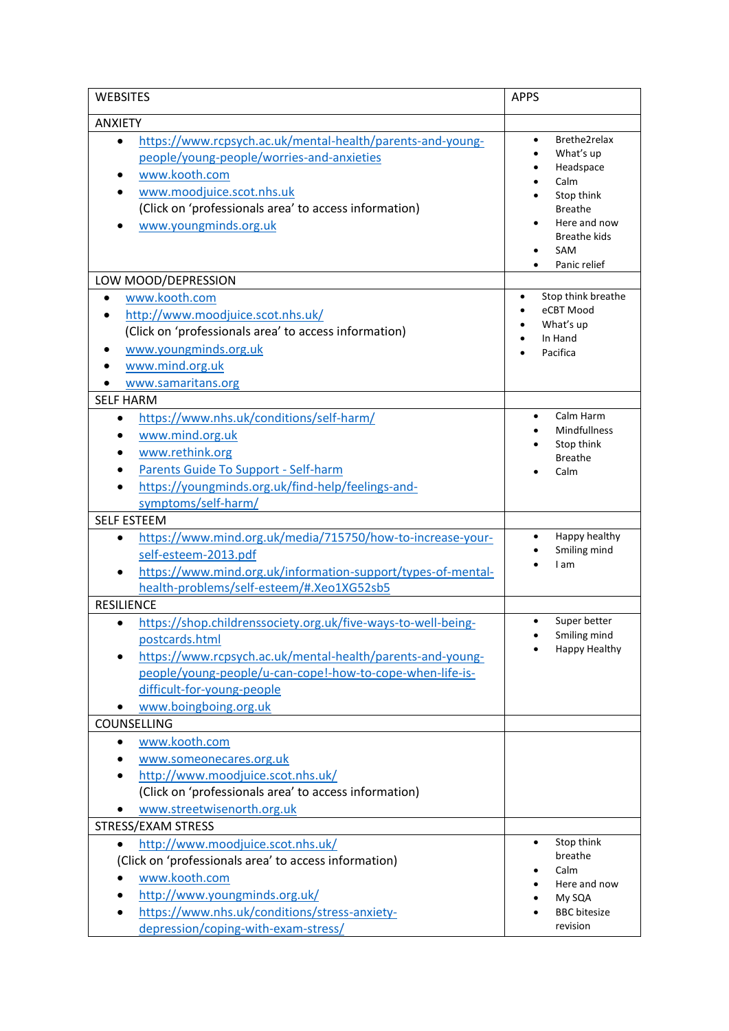| <b>WEBSITES</b>                                                                                                                                                                                                                                                                | <b>APPS</b>                                                                                                                                               |  |
|--------------------------------------------------------------------------------------------------------------------------------------------------------------------------------------------------------------------------------------------------------------------------------|-----------------------------------------------------------------------------------------------------------------------------------------------------------|--|
| <b>ANXIETY</b>                                                                                                                                                                                                                                                                 |                                                                                                                                                           |  |
| https://www.rcpsych.ac.uk/mental-health/parents-and-young-<br>$\bullet$<br>people/young-people/worries-and-anxieties<br>www.kooth.com<br>www.moodjuice.scot.nhs.uk<br>(Click on 'professionals area' to access information)<br>www.youngminds.org.uk                           | Brethe2relax<br>$\bullet$<br>What's up<br>Headspace<br>Calm<br>Stop think<br><b>Breathe</b><br>Here and now<br><b>Breathe kids</b><br>SAM<br>Panic relief |  |
| LOW MOOD/DEPRESSION                                                                                                                                                                                                                                                            |                                                                                                                                                           |  |
| www.kooth.com<br>$\bullet$<br>http://www.moodjuice.scot.nhs.uk/<br>(Click on 'professionals area' to access information)<br>www.youngminds.org.uk<br>www.mind.org.uk                                                                                                           | Stop think breathe<br>$\bullet$<br>eCBT Mood<br>What's up<br>In Hand<br>Pacifica                                                                          |  |
| www.samaritans.org<br><b>SELF HARM</b>                                                                                                                                                                                                                                         |                                                                                                                                                           |  |
| https://www.nhs.uk/conditions/self-harm/<br>$\bullet$<br>www.mind.org.uk<br>www.rethink.org<br>Parents Guide To Support - Self-harm<br>https://youngminds.org.uk/find-help/feelings-and-<br>symptoms/self-harm/                                                                | Calm Harm<br>$\bullet$<br><b>Mindfullness</b><br>Stop think<br><b>Breathe</b><br>Calm                                                                     |  |
| <b>SELF ESTEEM</b>                                                                                                                                                                                                                                                             |                                                                                                                                                           |  |
| https://www.mind.org.uk/media/715750/how-to-increase-your-<br>$\bullet$<br>self-esteem-2013.pdf<br>https://www.mind.org.uk/information-support/types-of-mental-<br>health-problems/self-esteem/#.Xeo1XG52sb5                                                                   | Happy healthy<br>٠<br>Smiling mind<br>I am                                                                                                                |  |
| <b>RESILIENCE</b>                                                                                                                                                                                                                                                              |                                                                                                                                                           |  |
| https://shop.childrenssociety.org.uk/five-ways-to-well-being-<br>$\bullet$<br>postcards.html<br>https://www.rcpsych.ac.uk/mental-health/parents-and-young-<br>people/young-people/u-can-cope!-how-to-cope-when-life-is-<br>difficult-for-young-people<br>www.boingboing.org.uk | Super better<br>$\bullet$<br>Smiling mind<br>Happy Healthy                                                                                                |  |
| COUNSELLING                                                                                                                                                                                                                                                                    |                                                                                                                                                           |  |
| www.kooth.com<br>$\bullet$<br>www.someonecares.org.uk<br>http://www.moodjuice.scot.nhs.uk/<br>(Click on 'professionals area' to access information)<br>www.streetwisenorth.org.uk                                                                                              |                                                                                                                                                           |  |
| STRESS/EXAM STRESS                                                                                                                                                                                                                                                             |                                                                                                                                                           |  |
| http://www.moodjuice.scot.nhs.uk/<br>$\bullet$<br>(Click on 'professionals area' to access information)<br>www.kooth.com<br>http://www.youngminds.org.uk/<br>https://www.nhs.uk/conditions/stress-anxiety-<br>depression/coping-with-exam-stress/                              | Stop think<br>$\bullet$<br>breathe<br>Calm<br>Here and now<br>My SQA<br><b>BBC</b> bitesize<br>revision                                                   |  |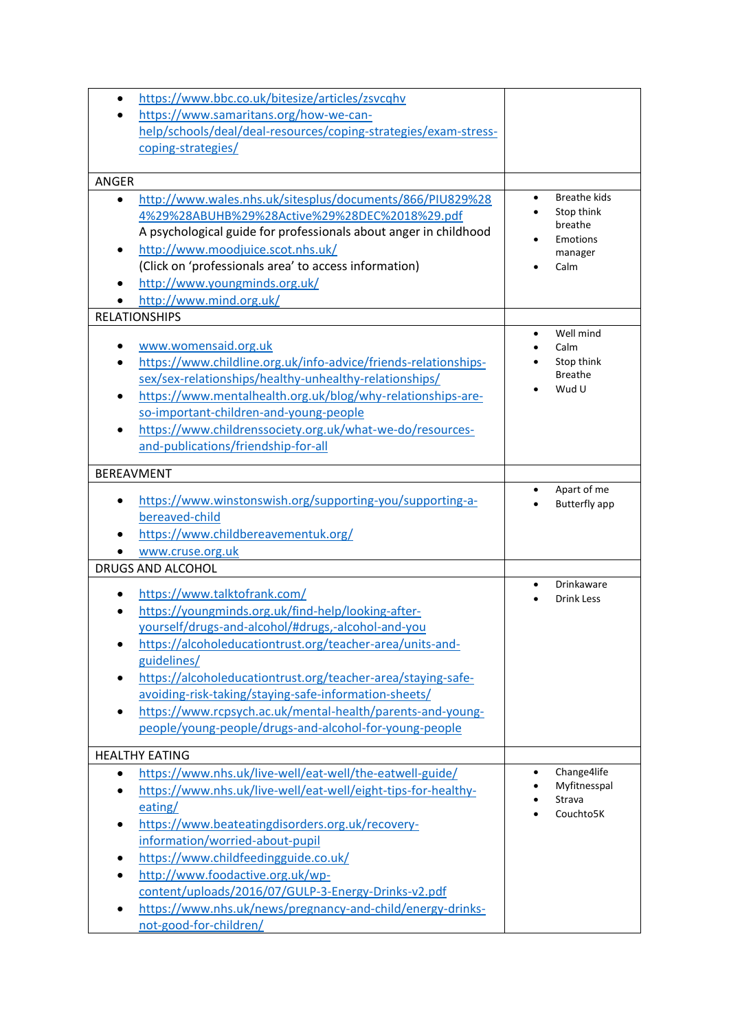| https://www.bbc.co.uk/bitesize/articles/zsvcqhv<br>https://www.samaritans.org/how-we-can-<br>help/schools/deal/deal-resources/coping-strategies/exam-stress-<br>coping-strategies/                                                                                                                                                                                                                                                                                    |                                                                                    |
|-----------------------------------------------------------------------------------------------------------------------------------------------------------------------------------------------------------------------------------------------------------------------------------------------------------------------------------------------------------------------------------------------------------------------------------------------------------------------|------------------------------------------------------------------------------------|
|                                                                                                                                                                                                                                                                                                                                                                                                                                                                       |                                                                                    |
| <b>ANGER</b>                                                                                                                                                                                                                                                                                                                                                                                                                                                          |                                                                                    |
| http://www.wales.nhs.uk/sitesplus/documents/866/PIU829%28<br>4%29%28ABUHB%29%28Active%29%28DEC%2018%29.pdf<br>A psychological guide for professionals about anger in childhood<br>http://www.moodjuice.scot.nhs.uk/<br>$\bullet$<br>(Click on 'professionals area' to access information)<br>http://www.youngminds.org.uk/<br>http://www.mind.org.uk/                                                                                                                 | <b>Breathe kids</b><br>Stop think<br>breathe<br><b>Emotions</b><br>manager<br>Calm |
| <b>RELATIONSHIPS</b>                                                                                                                                                                                                                                                                                                                                                                                                                                                  |                                                                                    |
| www.womensaid.org.uk<br>https://www.childline.org.uk/info-advice/friends-relationships-<br>sex/sex-relationships/healthy-unhealthy-relationships/<br>https://www.mentalhealth.org.uk/blog/why-relationships-are-<br>so-important-children-and-young-people<br>https://www.childrenssociety.org.uk/what-we-do/resources-<br>$\bullet$<br>and-publications/friendship-for-all                                                                                           | Well mind<br>Calm<br>Stop think<br><b>Breathe</b><br>Wud U                         |
| <b>BEREAVMENT</b>                                                                                                                                                                                                                                                                                                                                                                                                                                                     |                                                                                    |
| https://www.winstonswish.org/supporting-you/supporting-a-<br>bereaved-child<br>https://www.childbereavementuk.org/<br>www.cruse.org.uk                                                                                                                                                                                                                                                                                                                                | Apart of me<br>$\bullet$<br><b>Butterfly app</b>                                   |
| <b>DRUGS AND ALCOHOL</b>                                                                                                                                                                                                                                                                                                                                                                                                                                              |                                                                                    |
| https://www.talktofrank.com/<br>https://youngminds.org.uk/find-help/looking-after-<br>yourself/drugs-and-alcohol/#drugs,-alcohol-and-you<br>https://alcoholeducationtrust.org/teacher-area/units-and-<br>guidelines/<br>https://alcoholeducationtrust.org/teacher-area/staying-safe-<br>avoiding-risk-taking/staying-safe-information-sheets/<br>https://www.rcpsych.ac.uk/mental-health/parents-and-young-<br>people/young-people/drugs-and-alcohol-for-young-people | <b>Drinkaware</b><br>$\bullet$<br><b>Drink Less</b>                                |
| <b>HEALTHY EATING</b>                                                                                                                                                                                                                                                                                                                                                                                                                                                 |                                                                                    |
| https://www.nhs.uk/live-well/eat-well/the-eatwell-guide/<br>$\bullet$<br>https://www.nhs.uk/live-well/eat-well/eight-tips-for-healthy-<br>eating/<br>https://www.beateatingdisorders.org.uk/recovery-<br>information/worried-about-pupil<br>https://www.childfeedingguide.co.uk/<br>http://www.foodactive.org.uk/wp-<br>content/uploads/2016/07/GULP-3-Energy-Drinks-v2.pdf                                                                                           | Change4life<br>Myfitnesspal<br>Strava<br>Couchto5K                                 |
| https://www.nhs.uk/news/pregnancy-and-child/energy-drinks-<br>not-good-for-children/                                                                                                                                                                                                                                                                                                                                                                                  |                                                                                    |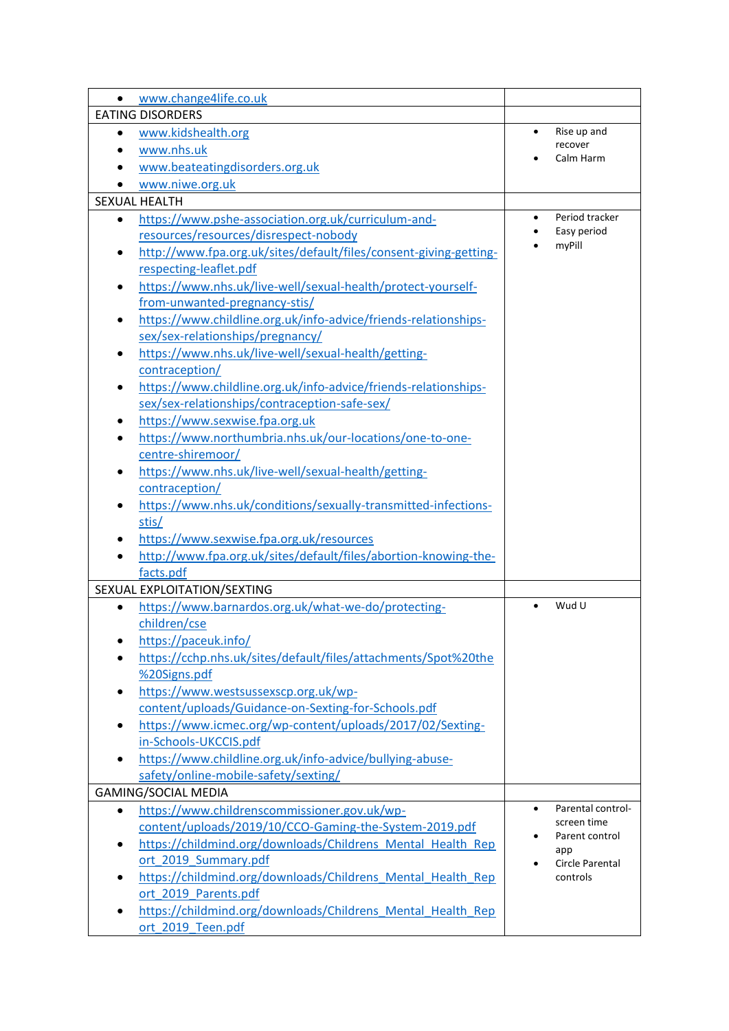| www.change4life.co.uk                                                          |                                |
|--------------------------------------------------------------------------------|--------------------------------|
| <b>EATING DISORDERS</b>                                                        |                                |
| www.kidshealth.org                                                             | Rise up and<br>$\bullet$       |
| www.nhs.uk                                                                     | recover                        |
| www.beateatingdisorders.org.uk                                                 | Calm Harm                      |
| www.niwe.org.uk                                                                |                                |
| <b>SEXUAL HEALTH</b>                                                           |                                |
| https://www.pshe-association.org.uk/curriculum-and-<br>$\bullet$               | Period tracker<br>$\bullet$    |
| resources/resources/disrespect-nobody                                          | Easy period                    |
| http://www.fpa.org.uk/sites/default/files/consent-giving-getting-<br>$\bullet$ | myPill                         |
| respecting-leaflet.pdf                                                         |                                |
| https://www.nhs.uk/live-well/sexual-health/protect-yourself-<br>$\bullet$      |                                |
| from-unwanted-pregnancy-stis/                                                  |                                |
| https://www.childline.org.uk/info-advice/friends-relationships-<br>٠           |                                |
| sex/sex-relationships/pregnancy/                                               |                                |
| https://www.nhs.uk/live-well/sexual-health/getting-                            |                                |
| contraception/                                                                 |                                |
| https://www.childline.org.uk/info-advice/friends-relationships-<br>$\bullet$   |                                |
| sex/sex-relationships/contraception-safe-sex/                                  |                                |
| https://www.sexwise.fpa.org.uk                                                 |                                |
| https://www.northumbria.nhs.uk/our-locations/one-to-one-                       |                                |
| centre-shiremoor/                                                              |                                |
| https://www.nhs.uk/live-well/sexual-health/getting-                            |                                |
| contraception/                                                                 |                                |
| https://www.nhs.uk/conditions/sexually-transmitted-infections-                 |                                |
| stis/                                                                          |                                |
| https://www.sexwise.fpa.org.uk/resources                                       |                                |
| http://www.fpa.org.uk/sites/default/files/abortion-knowing-the-                |                                |
| facts.pdf                                                                      |                                |
| SEXUAL EXPLOITATION/SEXTING                                                    |                                |
| https://www.barnardos.org.uk/what-we-do/protecting-<br>$\bullet$               | Wud U                          |
| children/cse                                                                   |                                |
| https://paceuk.info/                                                           |                                |
| https://cchp.nhs.uk/sites/default/files/attachments/Spot%20the                 |                                |
| %20Signs.pdf                                                                   |                                |
| https://www.westsussexscp.org.uk/wp-<br>$\bullet$                              |                                |
| content/uploads/Guidance-on-Sexting-for-Schools.pdf                            |                                |
| https://www.icmec.org/wp-content/uploads/2017/02/Sexting-                      |                                |
| in-Schools-UKCCIS.pdf                                                          |                                |
| https://www.childline.org.uk/info-advice/bullying-abuse-                       |                                |
| safety/online-mobile-safety/sexting/                                           |                                |
| <b>GAMING/SOCIAL MEDIA</b>                                                     |                                |
| https://www.childrenscommissioner.gov.uk/wp-<br>$\bullet$                      | Parental control-<br>$\bullet$ |
| content/uploads/2019/10/CCO-Gaming-the-System-2019.pdf                         | screen time                    |
| https://childmind.org/downloads/Childrens Mental Health Rep<br>٠               | Parent control<br>app          |
| ort 2019 Summary.pdf                                                           | Circle Parental                |
| https://childmind.org/downloads/Childrens Mental Health Rep<br>٠               | controls                       |
| ort 2019 Parents.pdf                                                           |                                |
| https://childmind.org/downloads/Childrens Mental Health Rep<br>$\bullet$       |                                |
| ort 2019 Teen.pdf                                                              |                                |